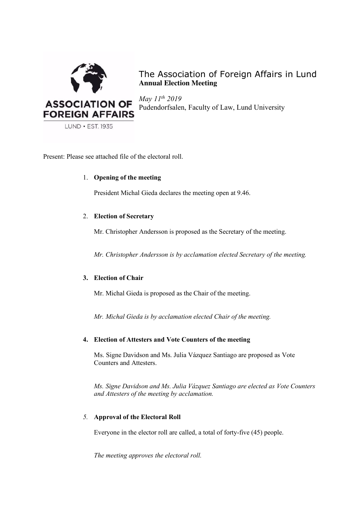

The Association of Foreign Affairs in Lund **Annual Election Meeting**

*May 11th 2019* Pudendorfsalen, Faculty of Law, Lund University

Present: Please see attached file of the electoral roll.

# 1. **Opening of the meeting**

President Michal Gieda declares the meeting open at 9.46.

# 2. **Election of Secretary**

Mr. Christopher Andersson is proposed as the Secretary of the meeting.

*Mr. Christopher Andersson is by acclamation elected Secretary of the meeting.*

# **3. Election of Chair**

Mr. Michal Gieda is proposed as the Chair of the meeting.

*Mr. Michal Gieda is by acclamation elected Chair of the meeting.*

# **4. Election of Attesters and Vote Counters of the meeting**

Ms. Signe Davidson and Ms. Julia Vázquez Santiago are proposed as Vote Counters and Attesters.

*Ms. Signe Davidson and Ms. Julia Vázquez Santiago are elected as Vote Counters and Attesters of the meeting by acclamation.*

# *5.* **Approval of the Electoral Roll**

Everyone in the elector roll are called, a total of forty-five (45) people.

*The meeting approves the electoral roll.*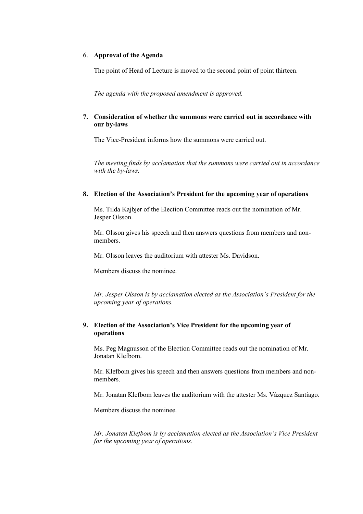### 6. **Approval of the Agenda**

The point of Head of Lecture is moved to the second point of point thirteen.

*The agenda with the proposed amendment is approved.* 

### **7. Consideration of whether the summons were carried out in accordance with our by-laws**

The Vice-President informs how the summons were carried out.

*The meeting finds by acclamation that the summons were carried out in accordance with the by-laws.* 

### **8. Election of the Association's President for the upcoming year of operations**

Ms. Tilda Kajbjer of the Election Committee reads out the nomination of Mr. Jesper Olsson.

Mr. Olsson gives his speech and then answers questions from members and nonmembers.

Mr. Olsson leaves the auditorium with attester Ms. Davidson.

Members discuss the nominee.

*Mr. Jesper Olsson is by acclamation elected as the Association's President for the upcoming year of operations.*

# **9. Election of the Association's Vice President for the upcoming year of operations**

Ms. Peg Magnusson of the Election Committee reads out the nomination of Mr. Jonatan Klefbom.

Mr. Klefbom gives his speech and then answers questions from members and nonmembers.

Mr. Jonatan Klefbom leaves the auditorium with the attester Ms. Vázquez Santiago.

Members discuss the nominee.

*Mr. Jonatan Klefbom is by acclamation elected as the Association's Vice President for the upcoming year of operations.*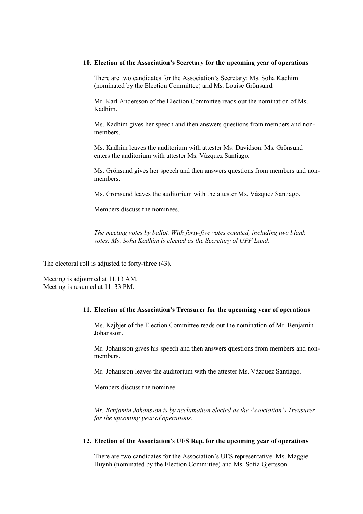#### **10. Election of the Association's Secretary for the upcoming year of operations**

There are two candidates for the Association's Secretary: Ms. Soha Kadhim (nominated by the Election Committee) and Ms. Louise Grönsund.

Mr. Karl Andersson of the Election Committee reads out the nomination of Ms. Kadhim.

Ms. Kadhim gives her speech and then answers questions from members and nonmembers.

Ms. Kadhim leaves the auditorium with attester Ms. Davidson. Ms. Grönsund enters the auditorium with attester Ms. Vázquez Santiago.

Ms. Grönsund gives her speech and then answers questions from members and nonmembers.

Ms. Grönsund leaves the auditorium with the attester Ms. Vázquez Santiago.

Members discuss the nominees.

*The meeting votes by ballot. With forty-five votes counted, including two blank votes, Ms. Soha Kadhim is elected as the Secretary of UPF Lund.*

The electoral roll is adjusted to forty-three (43).

Meeting is adjourned at 11.13 AM. Meeting is resumed at 11. 33 PM.

### **11. Election of the Association's Treasurer for the upcoming year of operations**

Ms. Kajbjer of the Election Committee reads out the nomination of Mr. Benjamin Johansson.

Mr. Johansson gives his speech and then answers questions from members and nonmembers.

Mr. Johansson leaves the auditorium with the attester Ms. Vázquez Santiago.

Members discuss the nominee.

*Mr. Benjamin Johansson is by acclamation elected as the Association's Treasurer for the upcoming year of operations.*

### **12. Election of the Association's UFS Rep. for the upcoming year of operations**

There are two candidates for the Association's UFS representative: Ms. Maggie Huynh (nominated by the Election Committee) and Ms. Sofia Gjertsson.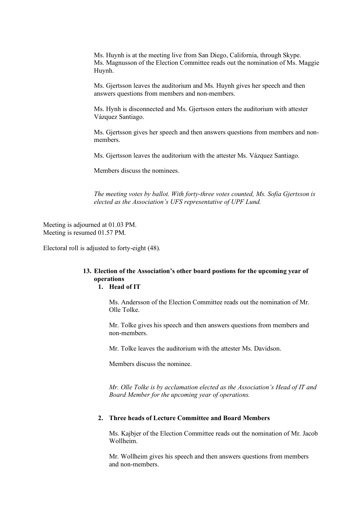Ms. Huynh is at the meeting live from San Diego, California, through Skype. Ms. Magnusson of the Election Committee reads out the nomination of Ms. Maggie Huynh.

Ms. Gjertsson leaves the auditorium and Ms. Huynh gives her speech and then answers questions from members and non-members.

Ms. Hynh is disconnected and Ms. Gjertsson enters the auditorium with attester Vázquez Santiago.

Ms. Gjertsson gives her speech and then answers questions from members and nonmembers.

Ms. Gjertsson leaves the auditorium with the attester Ms. Vázquez Santiago.

Members discuss the nominees.

*The meeting votes by ballot. With forty-three votes counted, Ms. Sofia Gjertsson is elected as the Association's UFS representative of UPF Lund.* 

Meeting is adjourned at 01.03 PM. Meeting is resumed 01.57 PM.

Electoral roll is adjusted to forty-eight (48).

#### **13. Election of the Association's other board postions for the upcoming year of operations 1. Head of IT**

Ms. Andersson of the Election Committee reads out the nomination of Mr. Olle Tolke.

Mr. Tolke gives his speech and then answers questions from members and non-members.

Mr. Tolke leaves the auditorium with the attester Ms. Davidson.

Members discuss the nominee.

*Mr. Olle Tolke is by acclamation elected as the Association's Head of IT and Board Member for the upcoming year of operations.*

### **2. Three heads of Lecture Committee and Board Members**

Ms. Kajbjer of the Election Committee reads out the nomination of Mr. Jacob Wollheim.

Mr. Wollheim gives his speech and then answers questions from members and non-members.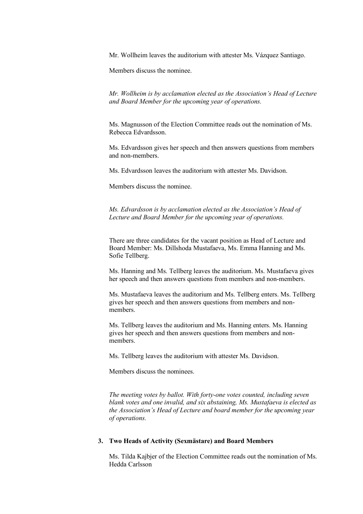Mr. Wollheim leaves the auditorium with attester Ms. Vázquez Santiago.

Members discuss the nominee.

*Mr. Wollheim is by acclamation elected as the Association's Head of Lecture and Board Member for the upcoming year of operations.*

Ms. Magnusson of the Election Committee reads out the nomination of Ms. Rebecca Edvardsson.

Ms. Edvardsson gives her speech and then answers questions from members and non-members.

Ms. Edvardsson leaves the auditorium with attester Ms. Davidson.

Members discuss the nominee.

*Ms. Edvardsson is by acclamation elected as the Association's Head of Lecture and Board Member for the upcoming year of operations.*

There are three candidates for the vacant position as Head of Lecture and Board Member: Ms. Dillshoda Mustafaeva, Ms. Emma Hanning and Ms. Sofie Tellberg.

Ms. Hanning and Ms. Tellberg leaves the auditorium. Ms. Mustafaeva gives her speech and then answers questions from members and non-members.

Ms. Mustafaeva leaves the auditorium and Ms. Tellberg enters. Ms. Tellberg gives her speech and then answers questions from members and nonmembers.

Ms. Tellberg leaves the auditorium and Ms. Hanning enters. Ms. Hanning gives her speech and then answers questions from members and nonmembers.

Ms. Tellberg leaves the auditorium with attester Ms. Davidson.

Members discuss the nominees.

*The meeting votes by ballot. With forty-one votes counted, including seven blank votes and one invalid, and six abstaining, Ms. Mustafaeva is elected as the Association's Head of Lecture and board member for the upcoming year of operations.*

### **3. Two Heads of Activity (Sexmästare) and Board Members**

Ms. Tilda Kajbjer of the Election Committee reads out the nomination of Ms. Hedda Carlsson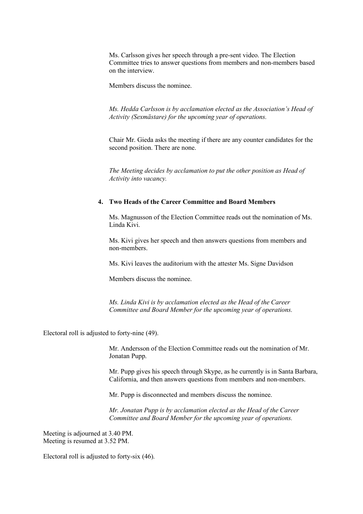Ms. Carlsson gives her speech through a pre-sent video. The Election Committee tries to answer questions from members and non-members based on the interview.

Members discuss the nominee.

*Ms. Hedda Carlsson is by acclamation elected as the Association's Head of Activity (Sexmästare) for the upcoming year of operations.*

Chair Mr. Gieda asks the meeting if there are any counter candidates for the second position. There are none.

*The Meeting decides by acclamation to put the other position as Head of Activity into vacancy.* 

#### **4. Two Heads of the Career Committee and Board Members**

Ms. Magnusson of the Election Committee reads out the nomination of Ms. Linda Kivi.

Ms. Kivi gives her speech and then answers questions from members and non-members.

Ms. Kivi leaves the auditorium with the attester Ms. Signe Davidson

Members discuss the nominee.

*Ms. Linda Kivi is by acclamation elected as the Head of the Career Committee and Board Member for the upcoming year of operations.*

Electoral roll is adjusted to forty-nine (49).

Mr. Andersson of the Election Committee reads out the nomination of Mr. Jonatan Pupp.

Mr. Pupp gives his speech through Skype, as he currently is in Santa Barbara, California, and then answers questions from members and non-members.

Mr. Pupp is disconnected and members discuss the nominee.

*Mr. Jonatan Pupp is by acclamation elected as the Head of the Career Committee and Board Member for the upcoming year of operations.*

Meeting is adjourned at 3.40 PM. Meeting is resumed at 3.52 PM.

Electoral roll is adjusted to forty-six (46).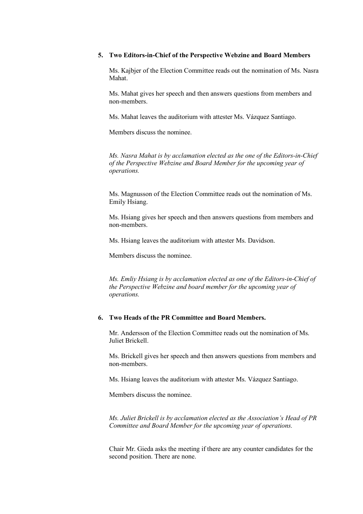### **5. Two Editors-in-Chief of the Perspective Webzine and Board Members**

Ms. Kajbjer of the Election Committee reads out the nomination of Ms. Nasra Mahat.

Ms. Mahat gives her speech and then answers questions from members and non-members.

Ms. Mahat leaves the auditorium with attester Ms. Vázquez Santiago.

Members discuss the nominee.

*Ms. Nasra Mahat is by acclamation elected as the one of the Editors-in-Chief of the Perspective Webzine and Board Member for the upcoming year of operations.*

Ms. Magnusson of the Election Committee reads out the nomination of Ms. Emily Hsiang.

Ms. Hsiang gives her speech and then answers questions from members and non-members.

Ms. Hsiang leaves the auditorium with attester Ms. Davidson.

Members discuss the nominee.

*Ms. Emliy Hsiang is by acclamation elected as one of the Editors-in-Chief of the Perspective Webzine and board member for the upcoming year of operations.*

# **6. Two Heads of the PR Committee and Board Members.**

Mr. Andersson of the Election Committee reads out the nomination of Ms. Juliet Brickell.

Ms. Brickell gives her speech and then answers questions from members and non-members.

Ms. Hsiang leaves the auditorium with attester Ms. Vázquez Santiago.

Members discuss the nominee.

*Ms. Juliet Brickell is by acclamation elected as the Association's Head of PR Committee and Board Member for the upcoming year of operations.*

Chair Mr. Gieda asks the meeting if there are any counter candidates for the second position. There are none.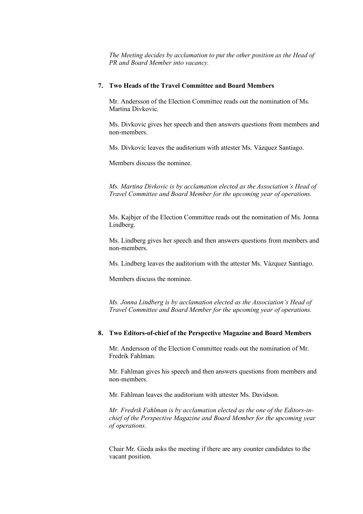*The Meeting decides by acclamation to put the other position as the Head of PR and Board Member into vacancy.* 

### **7. Two Heads of the Travel Committee and Board Members**

Mr. Andersson of the Election Committee reads out the nomination of Ms. Martina Divkovic.

Ms. Divkovic gives her speech and then answers questions from members and non-members.

Ms. Divkovic leaves the auditorium with attester Ms. Vázquez Santiago.

Members discuss the nominee.

*Ms. Martina Divkovic is by acclamation elected as the Association's Head of Travel Committee and Board Member for the upcoming year of operations.*

Ms. Kajbjer of the Election Committee reads out the nomination of Ms. Jonna Lindberg.

Ms. Lindberg gives her speech and then answers questions from members and non-members.

Ms. Lindberg leaves the auditorium with the attester Ms. Vázquez Santiago.

Members discuss the nominee.

*Ms. Jonna Lindberg is by acclamation elected as the Association's Head of Travel Committee and Board Member for the upcoming year of operations.*

# **8. Two Editors-of-chief of the Perspective Magazine and Board Members**

Mr. Andersson of the Election Committee reads out the nomination of Mr. Fredrik Fahlman.

Mr. Fahlman gives his speech and then answers questions from members and non-members.

Mr. Fahlman leaves the auditorium with attester Ms. Davidson.

*Mr. Fredrik Fahlman is by acclamation elected as the one of the Editors-inchief of the Perspective Magazine and Board Member for the upcoming year of operations.*

Chair Mr. Gieda asks the meeting if there are any counter candidates to the vacant position.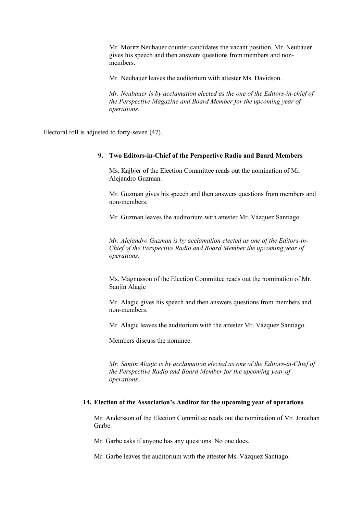Mr. Moritz Neubauer counter candidates the vacant position. Mr. Neubauer gives his speech and then answers questions from members and nonmembers.

Mr. Neubauer leaves the auditorium with attester Ms. Davidson.

*Mr. Neubauer is by acclamation elected as the one of the Editors-in-chief of the Perspective Magazine and Board Member for the upcoming year of operations.*

Electoral roll is adjusted to forty-seven (47).

#### **9. Two Editors-in-Chief of the Perspective Radio and Board Members**

Ms. Kajbjer of the Election Committee reads out the nomination of Mr. Alejandro Guzman.

Mr. Guzman gives his speech and then answers questions from members and non-members.

Mr. Guzman leaves the auditorium with attester Mr. Vázquez Santiago.

*Mr. Alejandro Guzman is by acclamation elected as one of the Editors-in-Chief of the Perspective Radio and Board Member the upcoming year of operations.*

Ms. Magnusson of the Election Committee reads out the nomination of Mr. Sanjin Alagic

Mr. Alagic gives his speech and then answers questions from members and non-members.

Mr. Alagic leaves the auditorium with the attester Mr. Vázquez Santiago.

Members discuss the nominee.

*Mr. Sanjin Alagic is by acclamation elected as one of the Editors-in-Chief of the Perspective Radio and Board Member for the upcoming year of operations.*

#### **14. Election of the Association's Auditor for the upcoming year of operations**

Mr. Andersson of the Election Committee reads out the nomination of Mr. Jonathan Garbe.

Mr. Garbe asks if anyone has any questions. No one does.

Mr. Garbe leaves the auditorium with the attester Ms. Vázquez Santiago.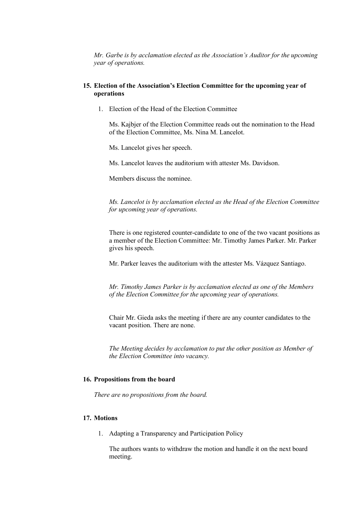*Mr. Garbe is by acclamation elected as the Association's Auditor for the upcoming year of operations.*

### **15. Election of the Association's Election Committee for the upcoming year of operations**

1. Election of the Head of the Election Committee

Ms. Kajbjer of the Election Committee reads out the nomination to the Head of the Election Committee, Ms. Nina M. Lancelot.

Ms. Lancelot gives her speech.

Ms. Lancelot leaves the auditorium with attester Ms. Davidson.

Members discuss the nominee.

*Ms. Lancelot is by acclamation elected as the Head of the Election Committee for upcoming year of operations.* 

There is one registered counter-candidate to one of the two vacant positions as a member of the Election Committee: Mr. Timothy James Parker. Mr. Parker gives his speech.

Mr. Parker leaves the auditorium with the attester Ms. Vázquez Santiago.

*Mr. Timothy James Parker is by acclamation elected as one of the Members of the Election Committee for the upcoming year of operations.*

Chair Mr. Gieda asks the meeting if there are any counter candidates to the vacant position. There are none.

*The Meeting decides by acclamation to put the other position as Member of the Election Committee into vacancy.* 

### **16. Propositions from the board**

*There are no propositions from the board.*

### **17. Motions**

1. Adapting a Transparency and Participation Policy

The authors wants to withdraw the motion and handle it on the next board meeting.